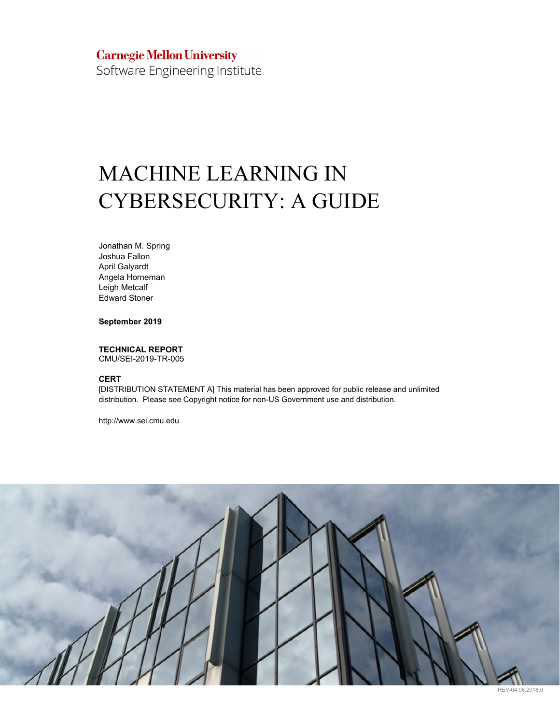# **Carnegie Mellon University**

Software Engineering Institute

# MACHINE LEARNING IN CYBERSECURITY: A GUIDE

Jonathan M. Spring Joshua Fallon April Galyardt Angela Horneman Leigh Metcalf Edward Stoner

**September 2019**

# **TECHNICAL REPORT**

CMU/SEI-2019-TR-005

#### **CERT**

[DISTRIBUTION STATEMENT A] This material has been approved for public release and unlimited distribution. Please see Copyright notice for non-US Government use and distribution.

http://www.sei.cmu.edu



REV-04.06.2018.0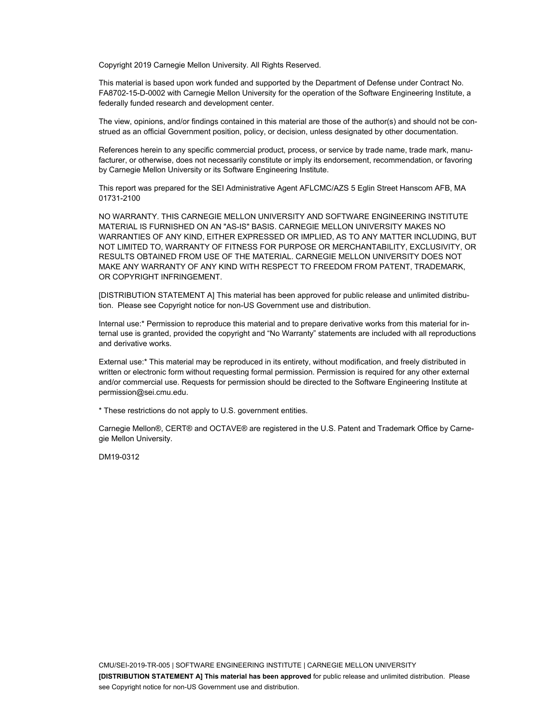Copyright 2019 Carnegie Mellon University. All Rights Reserved.

This material is based upon work funded and supported by the Department of Defense under Contract No. FA8702-15-D-0002 with Carnegie Mellon University for the operation of the Software Engineering Institute, a federally funded research and development center.

The view, opinions, and/or findings contained in this material are those of the author(s) and should not be construed as an official Government position, policy, or decision, unless designated by other documentation.

References herein to any specific commercial product, process, or service by trade name, trade mark, manufacturer, or otherwise, does not necessarily constitute or imply its endorsement, recommendation, or favoring by Carnegie Mellon University or its Software Engineering Institute.

This report was prepared for the SEI Administrative Agent AFLCMC/AZS 5 Eglin Street Hanscom AFB, MA 01731-2100

NO WARRANTY. THIS CARNEGIE MELLON UNIVERSITY AND SOFTWARE ENGINEERING INSTITUTE MATERIAL IS FURNISHED ON AN "AS-IS" BASIS. CARNEGIE MELLON UNIVERSITY MAKES NO WARRANTIES OF ANY KIND, EITHER EXPRESSED OR IMPLIED, AS TO ANY MATTER INCLUDING, BUT NOT LIMITED TO, WARRANTY OF FITNESS FOR PURPOSE OR MERCHANTABILITY, EXCLUSIVITY, OR RESULTS OBTAINED FROM USE OF THE MATERIAL. CARNEGIE MELLON UNIVERSITY DOES NOT MAKE ANY WARRANTY OF ANY KIND WITH RESPECT TO FREEDOM FROM PATENT, TRADEMARK, OR COPYRIGHT INFRINGEMENT.

[DISTRIBUTION STATEMENT A] This material has been approved for public release and unlimited distribution. Please see Copyright notice for non-US Government use and distribution.

Internal use:\* Permission to reproduce this material and to prepare derivative works from this material for internal use is granted, provided the copyright and "No Warranty" statements are included with all reproductions and derivative works.

External use:\* This material may be reproduced in its entirety, without modification, and freely distributed in written or electronic form without requesting formal permission. Permission is required for any other external and/or commercial use. Requests for permission should be directed to the Software Engineering Institute at permission@sei.cmu.edu.

\* These restrictions do not apply to U.S. government entities.

Carnegie Mellon®, CERT® and OCTAVE® are registered in the U.S. Patent and Trademark Office by Carnegie Mellon University.

DM19-0312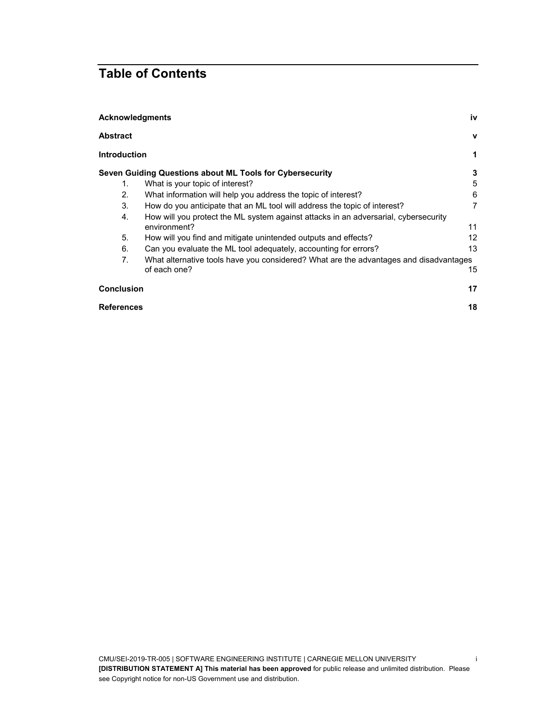# **Table of Contents**

| <b>Acknowledgments</b><br>iv |                                                                                       |                |  |
|------------------------------|---------------------------------------------------------------------------------------|----------------|--|
| <b>Abstract</b>              |                                                                                       | $\mathbf v$    |  |
| <b>Introduction</b>          |                                                                                       | 1              |  |
|                              | Seven Guiding Questions about ML Tools for Cybersecurity                              | 3              |  |
| 1.                           | What is your topic of interest?                                                       | 5              |  |
| 2.                           | What information will help you address the topic of interest?                         | 6              |  |
| 3.                           | How do you anticipate that an ML tool will address the topic of interest?             | $\overline{7}$ |  |
| 4.                           | How will you protect the ML system against attacks in an adversarial, cybersecurity   |                |  |
|                              | environment?                                                                          | 11             |  |
| 5.                           | How will you find and mitigate unintended outputs and effects?                        | 12             |  |
| 6.                           | Can you evaluate the ML tool adequately, accounting for errors?                       | 13             |  |
| 7.                           | What alternative tools have you considered? What are the advantages and disadvantages |                |  |
|                              | of each one?                                                                          | 15             |  |
| <b>Conclusion</b>            |                                                                                       | 17             |  |
|                              | <b>References</b>                                                                     |                |  |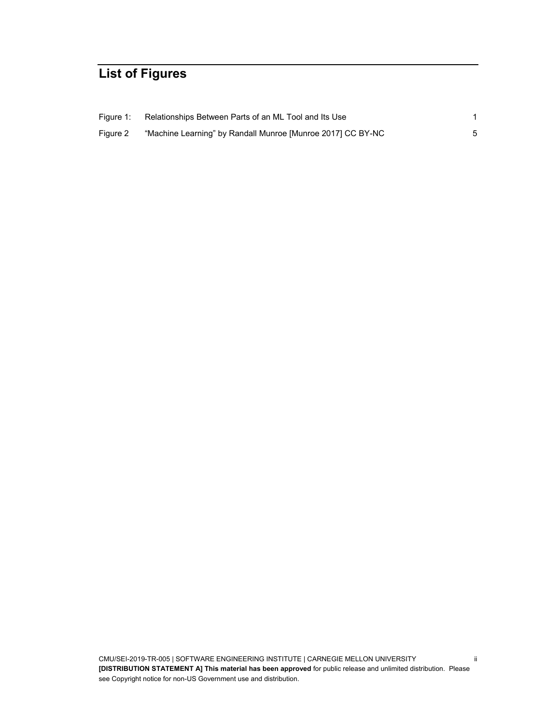# **List of Figures**

| Figure 1: | Relationships Between Parts of an ML Tool and Its Use       |  |
|-----------|-------------------------------------------------------------|--|
| Figure 2  | "Machine Learning" by Randall Munroe [Munroe 2017] CC BY-NC |  |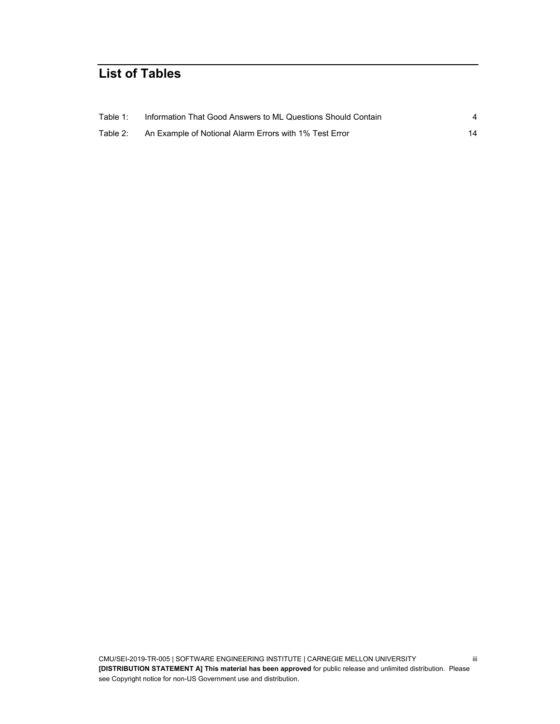# **List of Tables**

| Table 1: | Information That Good Answers to ML Questions Should Contain |    |
|----------|--------------------------------------------------------------|----|
| Table 2: | An Example of Notional Alarm Errors with 1% Test Error       | 14 |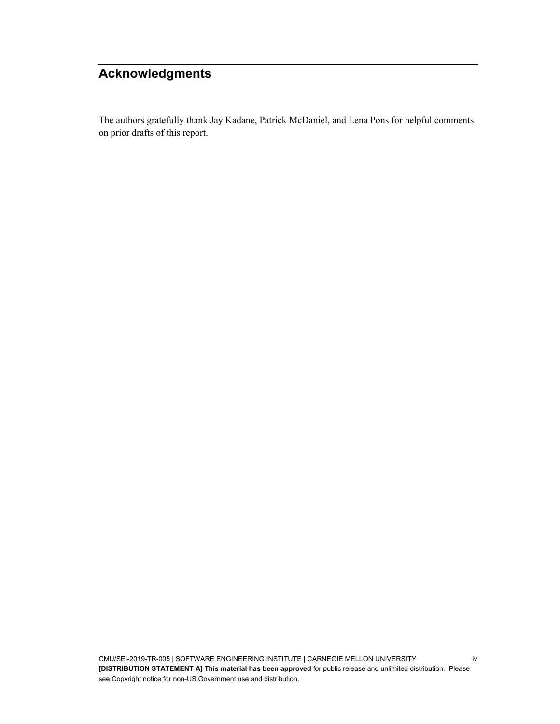# <span id="page-5-0"></span>**Acknowledgments**

The authors gratefully thank Jay Kadane, Patrick McDaniel, and Lena Pons for helpful comments on prior drafts of this report.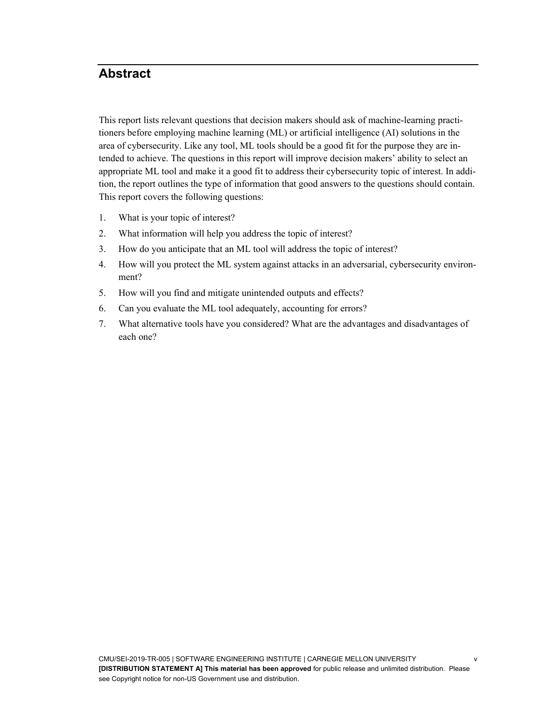# <span id="page-6-0"></span>**Abstract**

This report lists relevant questions that decision makers should ask of machine-learning practitioners before employing machine learning (ML) or artificial intelligence (AI) solutions in the area of cybersecurity. Like any tool, ML tools should be a good fit for the purpose they are intended to achieve. The questions in this report will improve decision makers' ability to select an appropriate ML tool and make it a good fit to address their cybersecurity topic of interest. In addition, the report outlines the type of information that good answers to the questions should contain. This report covers the following questions:

- 1. What is your topic of interest?
- 2. What information will help you address the topic of interest?
- 3. How do you anticipate that an ML tool will address the topic of interest?
- 4. How will you protect the ML system against attacks in an adversarial, cybersecurity environment?
- 5. How will you find and mitigate unintended outputs and effects?
- 6. Can you evaluate the ML tool adequately, accounting for errors?
- 7. What alternative tools have you considered? What are the advantages and disadvantages of each one?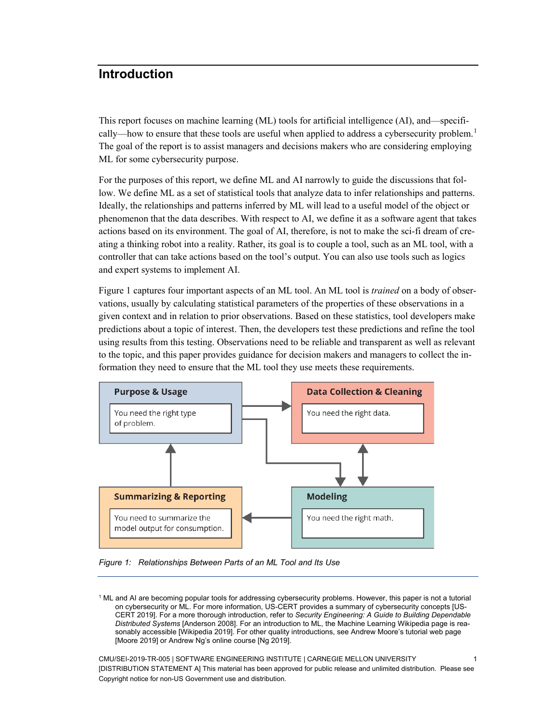# <span id="page-7-0"></span>**Introduction**

This report focuses on machine learning (ML) tools for artificial intelligence (AI), and—specifi-cally—how to ensure that these tools are useful when applied to address a cybersecurity problem.<sup>[1](#page-7-2)</sup> The goal of the report is to assist managers and decisions makers who are considering employing ML for some cybersecurity purpose.

For the purposes of this report, we define ML and AI narrowly to guide the discussions that follow. We define ML as a set of statistical tools that analyze data to infer relationships and patterns. Ideally, the relationships and patterns inferred by ML will lead to a useful model of the object or phenomenon that the data describes. With respect to AI, we define it as a software agent that takes actions based on its environment. The goal of AI, therefore, is not to make the sci-fi dream of creating a thinking robot into a reality. Rather, its goal is to couple a tool, such as an ML tool, with a controller that can take actions based on the tool's output. You can also use tools such as logics and expert systems to implement AI.

Figure 1 captures four important aspects of an ML tool. An ML tool is *trained* on a body of observations, usually by calculating statistical parameters of the properties of these observations in a given context and in relation to prior observations. Based on these statistics, tool developers make predictions about a topic of interest. Then, the developers test these predictions and refine the tool using results from this testing. Observations need to be reliable and transparent as well as relevant to the topic, and this paper provides guidance for decision makers and managers to collect the information they need to ensure that the ML tool they use meets these requirements.



<span id="page-7-1"></span>*Figure 1: Relationships Between Parts of an ML Tool and Its Use*

<span id="page-7-2"></span><sup>1</sup> ML and AI are becoming popular tools for addressing cybersecurity problems. However, this paper is not a tutorial on cybersecurity or ML. For more information, US-CERT provides a summary of cybersecurity concepts [US-CERT 2019]. For a more thorough introduction, refer to *Security Engineering: A Guide to Building Dependable Distributed Systems* [Anderson 2008]. For an introduction to ML, the Machine Learning Wikipedia page is reasonably accessible [Wikipedia 2019]. For other quality introductions, see Andrew Moore's tutorial web page [Moore 2019] or Andrew Ng's online course [Ng 2019].

CMU/SEI-2019-TR-005 | SOFTWARE ENGINEERING INSTITUTE | CARNEGIE MELLON UNIVERSITY 1 [DISTRIBUTION STATEMENT A] This material has been approved for public release and unlimited distribution. Please see Copyright notice for non-US Government use and distribution.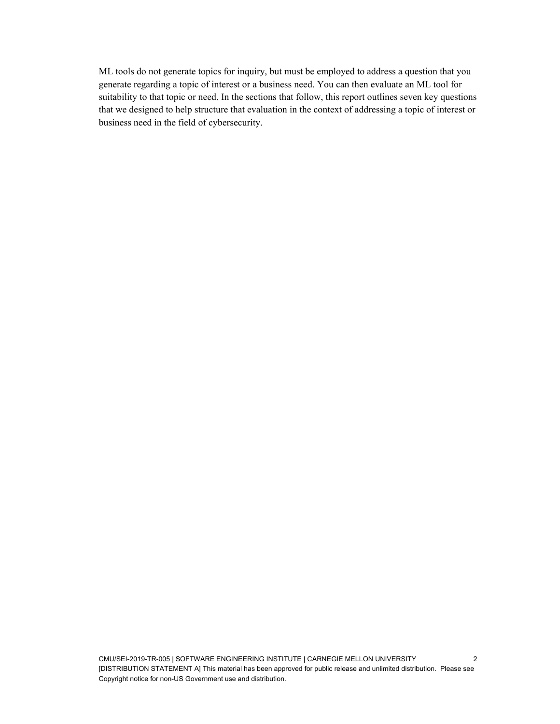ML tools do not generate topics for inquiry, but must be employed to address a question that you generate regarding a topic of interest or a business need. You can then evaluate an ML tool for suitability to that topic or need. In the sections that follow, this report outlines seven key questions that we designed to help structure that evaluation in the context of addressing a topic of interest or business need in the field of cybersecurity.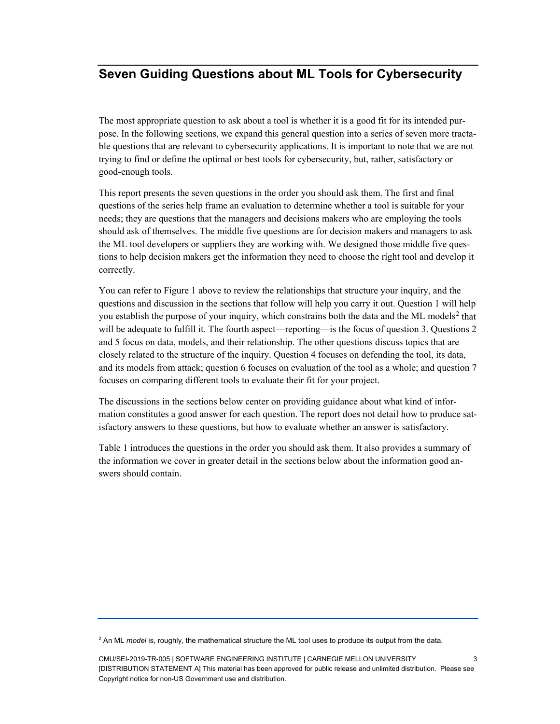# <span id="page-9-0"></span>**Seven Guiding Questions about ML Tools for Cybersecurity**

The most appropriate question to ask about a tool is whether it is a good fit for its intended purpose. In the following sections, we expand this general question into a series of seven more tractable questions that are relevant to cybersecurity applications. It is important to note that we are not trying to find or define the optimal or best tools for cybersecurity, but, rather, satisfactory or good-enough tools.

This report presents the seven questions in the order you should ask them. The first and final questions of the series help frame an evaluation to determine whether a tool is suitable for your needs; they are questions that the managers and decisions makers who are employing the tools should ask of themselves. The middle five questions are for decision makers and managers to ask the ML tool developers or suppliers they are working with. We designed those middle five questions to help decision makers get the information they need to choose the right tool and develop it correctly.

You can refer to Figure 1 above to review the relationships that structure your inquiry, and the questions and discussion in the sections that follow will help you carry it out. Question [1](#page-11-0) will help you establish the purpose of your inquiry, which constrains both the data and the ML models<sup>[2](#page-9-1)</sup> that will be adequate to fulfill it. The fourth aspect—reporting—is the focus of question [3.](#page-13-0) Questions [2](#page-12-0) and [5](#page-18-0) focus on data, models, and their relationship. The other questions discuss topics that are closely related to the structure of the inquiry. Question [4](#page-17-0) focuses on defending the tool, its data, and its models from attack; question [6](#page-19-0) focuses on evaluation of the tool as a whole; and question [7](#page-21-0) focuses on comparing different tools to evaluate their fit for your project.

The discussions in the sections below center on providing guidance about what kind of information constitutes a good answer for each question. The report does not detail how to produce satisfactory answers to these questions, but how to evaluate whether an answer is satisfactory.

[Table 1](#page-10-0) introduces the questions in the order you should ask them. It also provides a summary of the information we cover in greater detail in the sections below about the information good answers should contain.

<span id="page-9-1"></span><sup>2</sup> An ML *model* is, roughly, the mathematical structure the ML tool uses to produce its output from the data.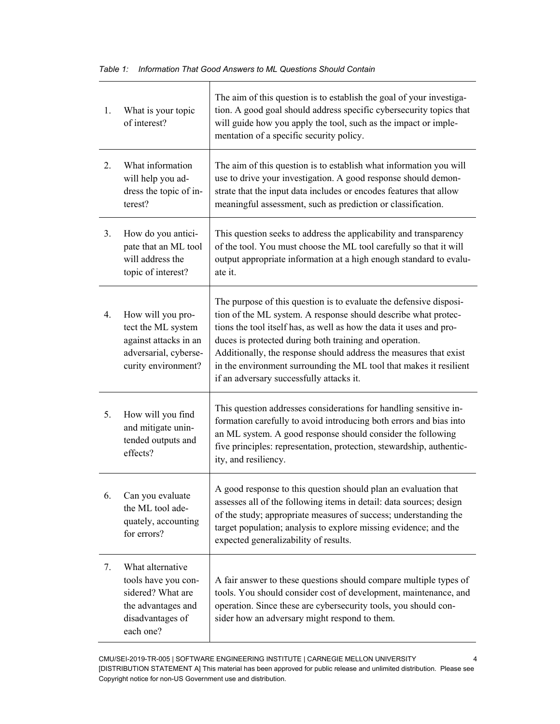$\overline{\mathsf{I}}$ 

<span id="page-10-0"></span>

| 1. | What is your topic<br>of interest?                                                                                  | The aim of this question is to establish the goal of your investiga-<br>tion. A good goal should address specific cybersecurity topics that<br>will guide how you apply the tool, such as the impact or imple-<br>mentation of a specific security policy.                                                                                                                                                                                                   |
|----|---------------------------------------------------------------------------------------------------------------------|--------------------------------------------------------------------------------------------------------------------------------------------------------------------------------------------------------------------------------------------------------------------------------------------------------------------------------------------------------------------------------------------------------------------------------------------------------------|
| 2. | What information<br>will help you ad-<br>dress the topic of in-<br>terest?                                          | The aim of this question is to establish what information you will<br>use to drive your investigation. A good response should demon-<br>strate that the input data includes or encodes features that allow<br>meaningful assessment, such as prediction or classification.                                                                                                                                                                                   |
| 3. | How do you antici-<br>pate that an ML tool<br>will address the<br>topic of interest?                                | This question seeks to address the applicability and transparency<br>of the tool. You must choose the ML tool carefully so that it will<br>output appropriate information at a high enough standard to evalu-<br>ate it.                                                                                                                                                                                                                                     |
| 4. | How will you pro-<br>tect the ML system<br>against attacks in an<br>adversarial, cyberse-<br>curity environment?    | The purpose of this question is to evaluate the defensive disposi-<br>tion of the ML system. A response should describe what protec-<br>tions the tool itself has, as well as how the data it uses and pro-<br>duces is protected during both training and operation.<br>Additionally, the response should address the measures that exist<br>in the environment surrounding the ML tool that makes it resilient<br>if an adversary successfully attacks it. |
| 5. | How will you find<br>and mitigate unin-<br>tended outputs and<br>effects?                                           | This question addresses considerations for handling sensitive in-<br>formation carefully to avoid introducing both errors and bias into<br>an ML system. A good response should consider the following<br>five principles: representation, protection, stewardship, authentic-<br>ity, and resiliency.                                                                                                                                                       |
| 6. | Can you evaluate<br>the ML tool ade-<br>quately, accounting<br>for errors?                                          | A good response to this question should plan an evaluation that<br>assesses all of the following items in detail: data sources; design<br>of the study; appropriate measures of success; understanding the<br>target population; analysis to explore missing evidence; and the<br>expected generalizability of results.                                                                                                                                      |
| 7. | What alternative<br>tools have you con-<br>sidered? What are<br>the advantages and<br>disadvantages of<br>each one? | A fair answer to these questions should compare multiple types of<br>tools. You should consider cost of development, maintenance, and<br>operation. Since these are cybersecurity tools, you should con-<br>sider how an adversary might respond to them.                                                                                                                                                                                                    |

CMU/SEI-2019-TR-005 | SOFTWARE ENGINEERING INSTITUTE | CARNEGIE MELLON UNIVERSITY 4 [DISTRIBUTION STATEMENT A] This material has been approved for public release and unlimited distribution. Please see Copyright notice for non-US Government use and distribution.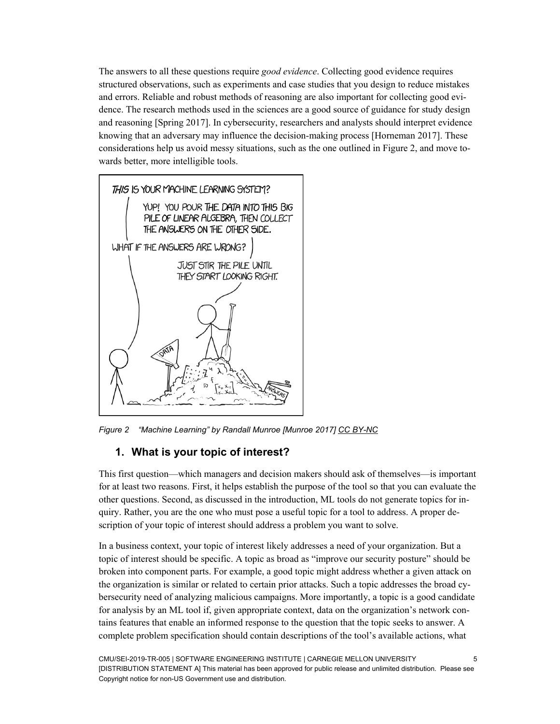The answers to all these questions require *good evidence*. Collecting good evidence requires structured observations, such as experiments and case studies that you design to reduce mistakes and errors. Reliable and robust methods of reasoning are also important for collecting good evidence. The research methods used in the sciences are a good source of guidance for study design and reasoning [Spring 2017]. In cybersecurity, researchers and analysts should interpret evidence knowing that an adversary may influence the decision-making process [Horneman 2017]. These considerations help us avoid messy situations, such as the one outlined in [Figure 2,](#page-11-1) and move towards better, more intelligible tools.



*Figure 2 "Machine Learning" by Randall Munroe [Munroe 2017] [CC BY-NC](https://creativecommons.org/licenses/by-nc/2.5/)*

# <span id="page-11-1"></span><span id="page-11-0"></span>**1. What is your topic of interest?**

This first question—which managers and decision makers should ask of themselves—is important for at least two reasons. First, it helps establish the purpose of the tool so that you can evaluate the other questions. Second, as discussed in the introduction, ML tools do not generate topics for inquiry. Rather, you are the one who must pose a useful topic for a tool to address. A proper description of your topic of interest should address a problem you want to solve.

In a business context, your topic of interest likely addresses a need of your organization. But a topic of interest should be specific. A topic as broad as "improve our security posture" should be broken into component parts. For example, a good topic might address whether a given attack on the organization is similar or related to certain prior attacks. Such a topic addresses the broad cybersecurity need of analyzing malicious campaigns. More importantly, a topic is a good candidate for analysis by an ML tool if, given appropriate context, data on the organization's network contains features that enable an informed response to the question that the topic seeks to answer. A complete problem specification should contain descriptions of the tool's available actions, what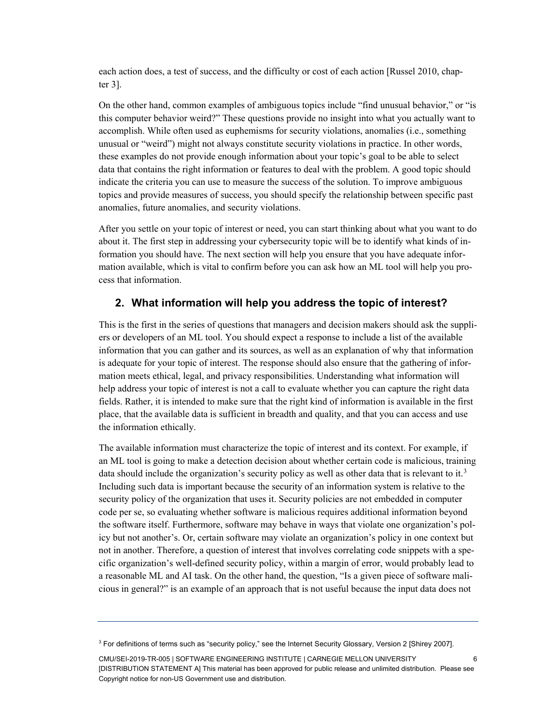each action does, a test of success, and the difficulty or cost of each action [Russel 2010, chapter 3].

On the other hand, common examples of ambiguous topics include "find unusual behavior," or "is this computer behavior weird?" These questions provide no insight into what you actually want to accomplish. While often used as euphemisms for security violations, anomalies (i.e., something unusual or "weird") might not always constitute security violations in practice. In other words, these examples do not provide enough information about your topic's goal to be able to select data that contains the right information or features to deal with the problem. A good topic should indicate the criteria you can use to measure the success of the solution. To improve ambiguous topics and provide measures of success, you should specify the relationship between specific past anomalies, future anomalies, and security violations.

After you settle on your topic of interest or need, you can start thinking about what you want to do about it. The first step in addressing your cybersecurity topic will be to identify what kinds of information you should have. The next section will help you ensure that you have adequate information available, which is vital to confirm before you can ask how an ML tool will help you process that information.

# <span id="page-12-0"></span>**2. What information will help you address the topic of interest?**

This is the first in the series of questions that managers and decision makers should ask the suppliers or developers of an ML tool. You should expect a response to include a list of the available information that you can gather and its sources, as well as an explanation of why that information is adequate for your topic of interest. The response should also ensure that the gathering of information meets ethical, legal, and privacy responsibilities. Understanding what information will help address your topic of interest is not a call to evaluate whether you can capture the right data fields. Rather, it is intended to make sure that the right kind of information is available in the first place, that the available data is sufficient in breadth and quality, and that you can access and use the information ethically.

The available information must characterize the topic of interest and its context. For example, if an ML tool is going to make a detection decision about whether certain code is malicious, training data should include the organization's security policy as well as other data that is relevant to it.<sup>[3](#page-12-1)</sup> Including such data is important because the security of an information system is relative to the security policy of the organization that uses it. Security policies are not embedded in computer code per se, so evaluating whether software is malicious requires additional information beyond the software itself. Furthermore, software may behave in ways that violate one organization's policy but not another's. Or, certain software may violate an organization's policy in one context but not in another. Therefore, a question of interest that involves correlating code snippets with a specific organization's well-defined security policy, within a margin of error, would probably lead to a reasonable ML and AI task. On the other hand, the question, "Is a given piece of software malicious in general?" is an example of an approach that is not useful because the input data does not

<span id="page-12-1"></span><sup>&</sup>lt;sup>3</sup> For definitions of terms such as "security policy," see the Internet Security Glossary, Version 2 [Shirey 2007].

CMU/SEI-2019-TR-005 | SOFTWARE ENGINEERING INSTITUTE | CARNEGIE MELLON UNIVERSITY 6 [DISTRIBUTION STATEMENT A] This material has been approved for public release and unlimited distribution. Please see Copyright notice for non-US Government use and distribution.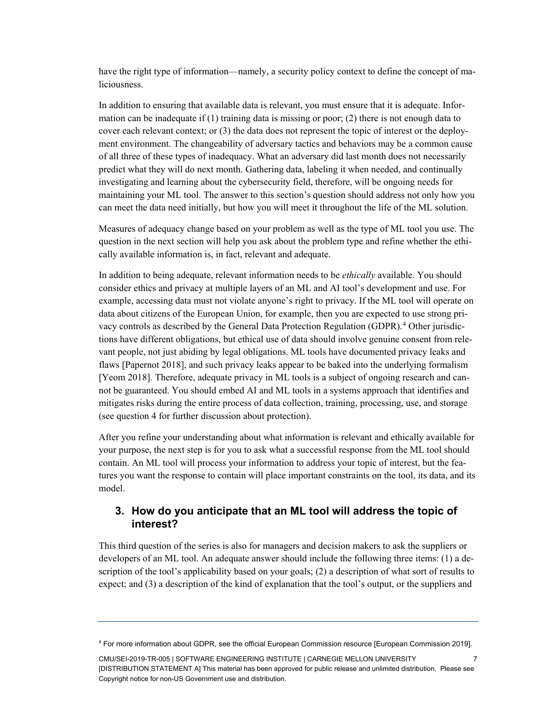have the right type of information—namely, a security policy context to define the concept of maliciousness.

In addition to ensuring that available data is relevant, you must ensure that it is adequate. Information can be inadequate if  $(1)$  training data is missing or poor;  $(2)$  there is not enough data to cover each relevant context; or (3) the data does not represent the topic of interest or the deployment environment. The changeability of adversary tactics and behaviors may be a common cause of all three of these types of inadequacy. What an adversary did last month does not necessarily predict what they will do next month. Gathering data, labeling it when needed, and continually investigating and learning about the cybersecurity field, therefore, will be ongoing needs for maintaining your ML tool. The answer to this section's question should address not only how you can meet the data need initially, but how you will meet it throughout the life of the ML solution.

Measures of adequacy change based on your problem as well as the type of ML tool you use. The question in the next section will help you ask about the problem type and refine whether the ethically available information is, in fact, relevant and adequate.

In addition to being adequate, relevant information needs to be *ethically* available. You should consider ethics and privacy at multiple layers of an ML and AI tool's development and use. For example, accessing data must not violate anyone's right to privacy. If the ML tool will operate on data about citizens of the European Union, for example, then you are expected to use strong privacy controls as described by the General Data Protection Regulation (GDPR).[4](#page-13-1) Other jurisdictions have different obligations, but ethical use of data should involve genuine consent from relevant people, not just abiding by legal obligations. ML tools have documented privacy leaks and flaws [Papernot 2018], and such privacy leaks appear to be baked into the underlying formalism [Yeom 2018]. Therefore, adequate privacy in ML tools is a subject of ongoing research and cannot be guaranteed. You should embed AI and ML tools in a systems approach that identifies and mitigates risks during the entire process of data collection, training, processing, use, and storage (see questio[n 4](#page-17-0) for further discussion about protection).

After you refine your understanding about what information is relevant and ethically available for your purpose, the next step is for you to ask what a successful response from the ML tool should contain. An ML tool will process your information to address your topic of interest, but the features you want the response to contain will place important constraints on the tool, its data, and its model.

# <span id="page-13-0"></span>**3. How do you anticipate that an ML tool will address the topic of interest?**

This third question of the series is also for managers and decision makers to ask the suppliers or developers of an ML tool. An adequate answer should include the following three items: (1) a description of the tool's applicability based on your goals; (2) a description of what sort of results to expect; and (3) a description of the kind of explanation that the tool's output, or the suppliers and

CMU/SEI-2019-TR-005 | SOFTWARE ENGINEERING INSTITUTE | CARNEGIE MELLON UNIVERSITY 7 [DISTRIBUTION STATEMENT A] This material has been approved for public release and unlimited distribution. Please see Copyright notice for non-US Government use and distribution.

<span id="page-13-1"></span><sup>4</sup> For more information about GDPR, see the official European Commission resource [European Commission 2019].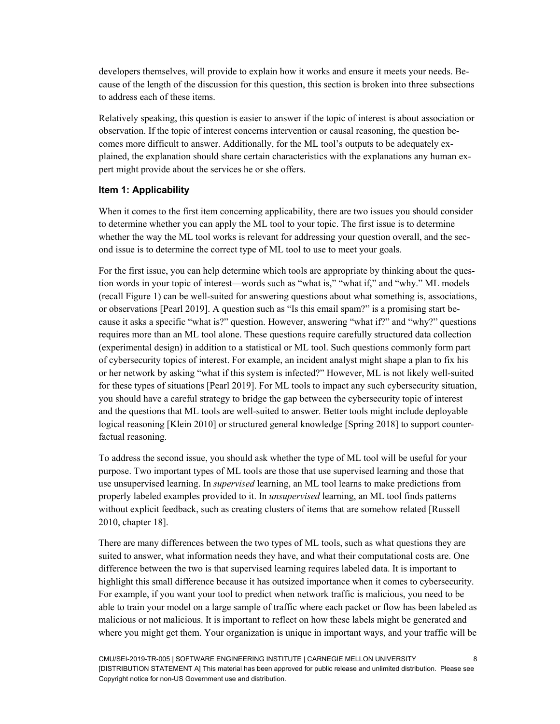developers themselves, will provide to explain how it works and ensure it meets your needs. Because of the length of the discussion for this question, this section is broken into three subsections to address each of these items.

Relatively speaking, this question is easier to answer if the topic of interest is about association or observation. If the topic of interest concerns intervention or causal reasoning, the question becomes more difficult to answer. Additionally, for the ML tool's outputs to be adequately explained, the explanation should share certain characteristics with the explanations any human expert might provide about the services he or she offers.

#### **Item 1: Applicability**

When it comes to the first item concerning applicability, there are two issues you should consider to determine whether you can apply the ML tool to your topic. The first issue is to determine whether the way the ML tool works is relevant for addressing your question overall, and the second issue is to determine the correct type of ML tool to use to meet your goals.

For the first issue, you can help determine which tools are appropriate by thinking about the question words in your topic of interest—words such as "what is," "what if," and "why." ML models (recall Figure 1) can be well-suited for answering questions about what something is, associations, or observations [Pearl 2019]. A question such as "Is this email spam?" is a promising start because it asks a specific "what is?" question. However, answering "what if?" and "why?" questions requires more than an ML tool alone. These questions require carefully structured data collection (experimental design) in addition to a statistical or ML tool. Such questions commonly form part of cybersecurity topics of interest. For example, an incident analyst might shape a plan to fix his or her network by asking "what if this system is infected?" However, ML is not likely well-suited for these types of situations [Pearl 2019]. For ML tools to impact any such cybersecurity situation, you should have a careful strategy to bridge the gap between the cybersecurity topic of interest and the questions that ML tools are well-suited to answer. Better tools might include deployable logical reasoning [Klein 2010] or structured general knowledge [Spring 2018] to support counterfactual reasoning.

To address the second issue, you should ask whether the type of ML tool will be useful for your purpose. Two important types of ML tools are those that use supervised learning and those that use unsupervised learning. In *supervised* learning, an ML tool learns to make predictions from properly labeled examples provided to it. In *unsupervised* learning, an ML tool finds patterns without explicit feedback, such as creating clusters of items that are somehow related [Russell 2010, chapter 18].

There are many differences between the two types of ML tools, such as what questions they are suited to answer, what information needs they have, and what their computational costs are. One difference between the two is that supervised learning requires labeled data. It is important to highlight this small difference because it has outsized importance when it comes to cybersecurity. For example, if you want your tool to predict when network traffic is malicious, you need to be able to train your model on a large sample of traffic where each packet or flow has been labeled as malicious or not malicious. It is important to reflect on how these labels might be generated and where you might get them. Your organization is unique in important ways, and your traffic will be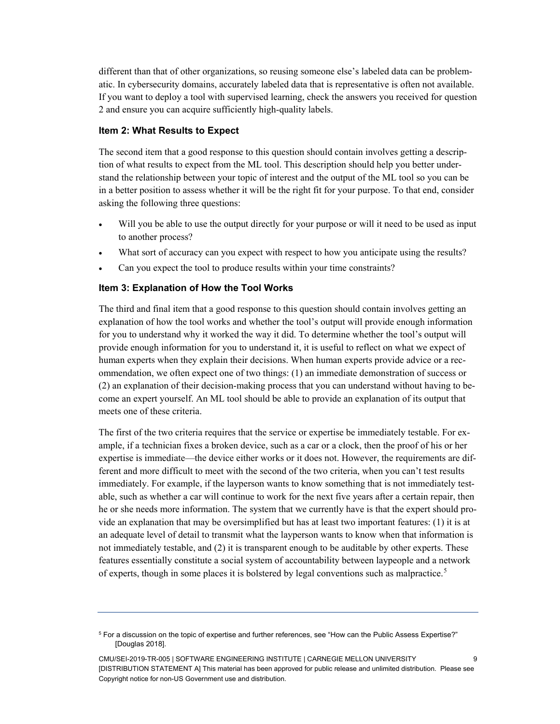different than that of other organizations, so reusing someone else's labeled data can be problematic. In cybersecurity domains, accurately labeled data that is representative is often not available. If you want to deploy a tool with supervised learning, check the answers you received for question [2](#page-12-0) and ensure you can acquire sufficiently high-quality labels.

#### **Item 2: What Results to Expect**

The second item that a good response to this question should contain involves getting a description of what results to expect from the ML tool. This description should help you better understand the relationship between your topic of interest and the output of the ML tool so you can be in a better position to assess whether it will be the right fit for your purpose. To that end, consider asking the following three questions:

- Will you be able to use the output directly for your purpose or will it need to be used as input to another process?
- What sort of accuracy can you expect with respect to how you anticipate using the results?
- Can you expect the tool to produce results within your time constraints?

#### **Item 3: Explanation of How the Tool Works**

The third and final item that a good response to this question should contain involves getting an explanation of how the tool works and whether the tool's output will provide enough information for you to understand why it worked the way it did. To determine whether the tool's output will provide enough information for you to understand it, it is useful to reflect on what we expect of human experts when they explain their decisions. When human experts provide advice or a recommendation, we often expect one of two things: (1) an immediate demonstration of success or (2) an explanation of their decision-making process that you can understand without having to become an expert yourself. An ML tool should be able to provide an explanation of its output that meets one of these criteria.

The first of the two criteria requires that the service or expertise be immediately testable. For example, if a technician fixes a broken device, such as a car or a clock, then the proof of his or her expertise is immediate—the device either works or it does not. However, the requirements are different and more difficult to meet with the second of the two criteria, when you can't test results immediately. For example, if the layperson wants to know something that is not immediately testable, such as whether a car will continue to work for the next five years after a certain repair, then he or she needs more information. The system that we currently have is that the expert should provide an explanation that may be oversimplified but has at least two important features: (1) it is at an adequate level of detail to transmit what the layperson wants to know when that information is not immediately testable, and (2) it is transparent enough to be auditable by other experts. These features essentially constitute a social system of accountability between laypeople and a network of experts, though in some places it is bolstered by legal conventions such as malpractice.<sup>[5](#page-15-0)</sup>

<span id="page-15-0"></span><sup>&</sup>lt;sup>5</sup> For a discussion on the topic of expertise and further references, see "How can the Public Assess Expertise?" [Douglas 2018].

CMU/SEI-2019-TR-005 | SOFTWARE ENGINEERING INSTITUTE | CARNEGIE MELLON UNIVERSITY 9 [DISTRIBUTION STATEMENT A] This material has been approved for public release and unlimited distribution. Please see Copyright notice for non-US Government use and distribution.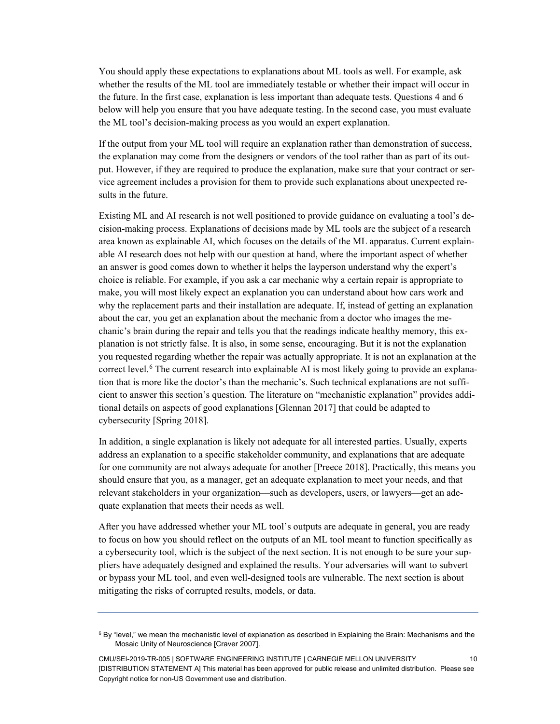You should apply these expectations to explanations about ML tools as well. For example, ask whether the results of the ML tool are immediately testable or whether their impact will occur in the future. In the first case, explanation is less important than adequate tests. Questions [4](#page-17-0) and [6](#page-19-0) below will help you ensure that you have adequate testing. In the second case, you must evaluate the ML tool's decision-making process as you would an expert explanation.

If the output from your ML tool will require an explanation rather than demonstration of success, the explanation may come from the designers or vendors of the tool rather than as part of its output. However, if they are required to produce the explanation, make sure that your contract or service agreement includes a provision for them to provide such explanations about unexpected results in the future.

Existing ML and AI research is not well positioned to provide guidance on evaluating a tool's decision-making process. Explanations of decisions made by ML tools are the subject of a research area known as explainable AI, which focuses on the details of the ML apparatus. Current explainable AI research does not help with our question at hand, where the important aspect of whether an answer is good comes down to whether it helps the layperson understand why the expert's choice is reliable. For example, if you ask a car mechanic why a certain repair is appropriate to make, you will most likely expect an explanation you can understand about how cars work and why the replacement parts and their installation are adequate. If, instead of getting an explanation about the car, you get an explanation about the mechanic from a doctor who images the mechanic's brain during the repair and tells you that the readings indicate healthy memory, this explanation is not strictly false. It is also, in some sense, encouraging. But it is not the explanation you requested regarding whether the repair was actually appropriate. It is not an explanation at the correct level.<sup>[6](#page-16-0)</sup> The current research into explainable AI is most likely going to provide an explanation that is more like the doctor's than the mechanic's. Such technical explanations are not sufficient to answer this section's question. The literature on "mechanistic explanation" provides additional details on aspects of good explanations [Glennan 2017] that could be adapted to cybersecurity [Spring 2018].

In addition, a single explanation is likely not adequate for all interested parties. Usually, experts address an explanation to a specific stakeholder community, and explanations that are adequate for one community are not always adequate for another [Preece 2018]. Practically, this means you should ensure that you, as a manager, get an adequate explanation to meet your needs, and that relevant stakeholders in your organization—such as developers, users, or lawyers—get an adequate explanation that meets their needs as well.

After you have addressed whether your ML tool's outputs are adequate in general, you are ready to focus on how you should reflect on the outputs of an ML tool meant to function specifically as a cybersecurity tool, which is the subject of the next section. It is not enough to be sure your suppliers have adequately designed and explained the results. Your adversaries will want to subvert or bypass your ML tool, and even well-designed tools are vulnerable. The next section is about mitigating the risks of corrupted results, models, or data.

<span id="page-16-0"></span> $6$  By "level," we mean the mechanistic level of explanation as described in Explaining the Brain: Mechanisms and the Mosaic Unity of Neuroscience [Craver 2007].

CMU/SEI-2019-TR-005 | SOFTWARE ENGINEERING INSTITUTE | CARNEGIE MELLON UNIVERSITY 10 [DISTRIBUTION STATEMENT A] This material has been approved for public release and unlimited distribution. Please see Copyright notice for non-US Government use and distribution.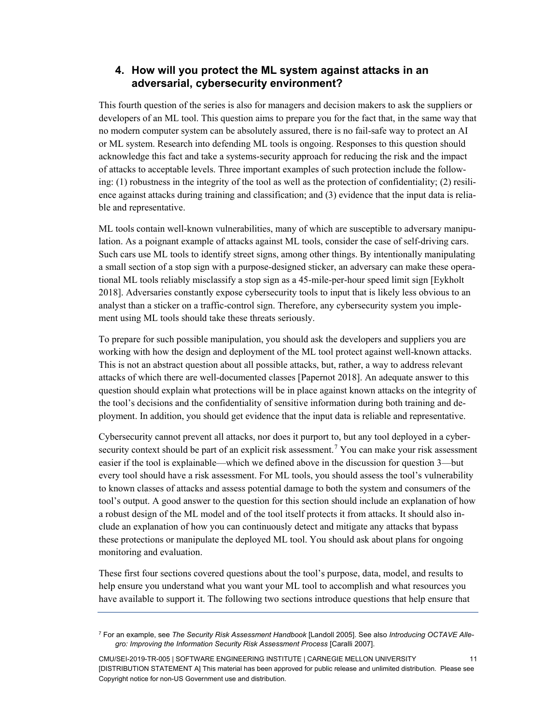# <span id="page-17-0"></span>**4. How will you protect the ML system against attacks in an adversarial, cybersecurity environment?**

This fourth question of the series is also for managers and decision makers to ask the suppliers or developers of an ML tool. This question aims to prepare you for the fact that, in the same way that no modern computer system can be absolutely assured, there is no fail-safe way to protect an AI or ML system. Research into defending ML tools is ongoing. Responses to this question should acknowledge this fact and take a systems-security approach for reducing the risk and the impact of attacks to acceptable levels. Three important examples of such protection include the following: (1) robustness in the integrity of the tool as well as the protection of confidentiality; (2) resilience against attacks during training and classification; and (3) evidence that the input data is reliable and representative.

ML tools contain well-known vulnerabilities, many of which are susceptible to adversary manipulation. As a poignant example of attacks against ML tools, consider the case of self-driving cars. Such cars use ML tools to identify street signs, among other things. By intentionally manipulating a small section of a stop sign with a purpose-designed sticker, an adversary can make these operational ML tools reliably misclassify a stop sign as a 45-mile-per-hour speed limit sign [Eykholt 2018]. Adversaries constantly expose cybersecurity tools to input that is likely less obvious to an analyst than a sticker on a traffic-control sign. Therefore, any cybersecurity system you implement using ML tools should take these threats seriously.

To prepare for such possible manipulation, you should ask the developers and suppliers you are working with how the design and deployment of the ML tool protect against well-known attacks. This is not an abstract question about all possible attacks, but, rather, a way to address relevant attacks of which there are well-documented classes [Papernot 2018]. An adequate answer to this question should explain what protections will be in place against known attacks on the integrity of the tool's decisions and the confidentiality of sensitive information during both training and deployment. In addition, you should get evidence that the input data is reliable and representative.

Cybersecurity cannot prevent all attacks, nor does it purport to, but any tool deployed in a cyber-security context should be part of an explicit risk assessment.<sup>[7](#page-17-1)</sup> You can make your risk assessment easier if the tool is explainable—which we defined above in the discussion for questio[n 3—](#page-13-0)but every tool should have a risk assessment. For ML tools, you should assess the tool's vulnerability to known classes of attacks and assess potential damage to both the system and consumers of the tool's output. A good answer to the question for this section should include an explanation of how a robust design of the ML model and of the tool itself protects it from attacks. It should also include an explanation of how you can continuously detect and mitigate any attacks that bypass these protections or manipulate the deployed ML tool. You should ask about plans for ongoing monitoring and evaluation.

These first four sections covered questions about the tool's purpose, data, model, and results to help ensure you understand what you want your ML tool to accomplish and what resources you have available to support it. The following two sections introduce questions that help ensure that

<span id="page-17-1"></span><sup>7</sup> For an example, see *The Security Risk Assessment Handbook* [Landoll 2005]. See also *Introducing OCTAVE Allegro: Improving the Information Security Risk Assessment Process* [Caralli 2007].

CMU/SEI-2019-TR-005 | SOFTWARE ENGINEERING INSTITUTE | CARNEGIE MELLON UNIVERSITY 11 [DISTRIBUTION STATEMENT A] This material has been approved for public release and unlimited distribution. Please see Copyright notice for non-US Government use and distribution.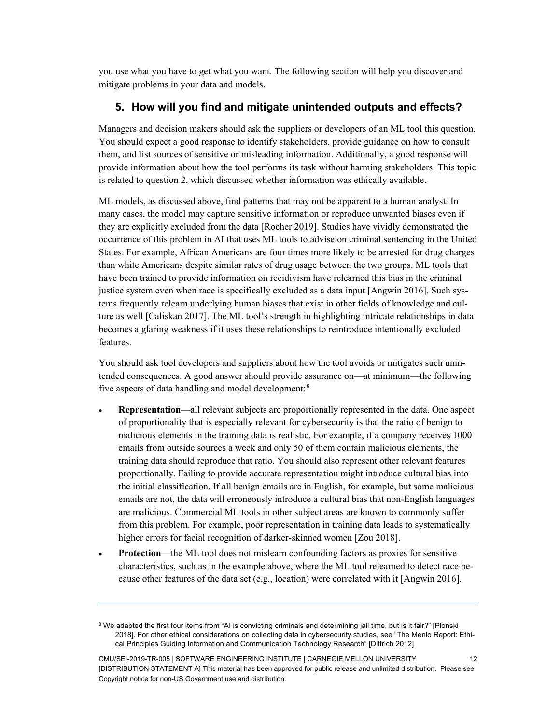you use what you have to get what you want. The following section will help you discover and mitigate problems in your data and models.

# <span id="page-18-0"></span>**5. How will you find and mitigate unintended outputs and effects?**

Managers and decision makers should ask the suppliers or developers of an ML tool this question. You should expect a good response to identify stakeholders, provide guidance on how to consult them, and list sources of sensitive or misleading information. Additionally, a good response will provide information about how the tool performs its task without harming stakeholders. This topic is related to question [2,](#page-12-0) which discussed whether information was ethically available.

ML models, as discussed above, find patterns that may not be apparent to a human analyst. In many cases, the model may capture sensitive information or reproduce unwanted biases even if they are explicitly excluded from the data [Rocher 2019]. Studies have vividly demonstrated the occurrence of this problem in AI that uses ML tools to advise on criminal sentencing in the United States. For example, African Americans are four times more likely to be arrested for drug charges than white Americans despite similar rates of drug usage between the two groups. ML tools that have been trained to provide information on recidivism have relearned this bias in the criminal justice system even when race is specifically excluded as a data input [Angwin 2016]. Such systems frequently relearn underlying human biases that exist in other fields of knowledge and culture as well [Caliskan 2017]. The ML tool's strength in highlighting intricate relationships in data becomes a glaring weakness if it uses these relationships to reintroduce intentionally excluded features.

You should ask tool developers and suppliers about how the tool avoids or mitigates such unintended consequences. A good answer should provide assurance on—at minimum—the following five aspects of data handling and model development:<sup>[8](#page-18-1)</sup>

- **Representation**—all relevant subjects are proportionally represented in the data. One aspect of proportionality that is especially relevant for cybersecurity is that the ratio of benign to malicious elements in the training data is realistic. For example, if a company receives 1000 emails from outside sources a week and only 50 of them contain malicious elements, the training data should reproduce that ratio. You should also represent other relevant features proportionally. Failing to provide accurate representation might introduce cultural bias into the initial classification. If all benign emails are in English, for example, but some malicious emails are not, the data will erroneously introduce a cultural bias that non-English languages are malicious. Commercial ML tools in other subject areas are known to commonly suffer from this problem. For example, poor representation in training data leads to systematically higher errors for facial recognition of darker-skinned women [Zou 2018].
- **Protection—the ML tool does not mislearn confounding factors as proxies for sensitive** characteristics, such as in the example above, where the ML tool relearned to detect race because other features of the data set (e.g., location) were correlated with it [Angwin 2016].

<span id="page-18-1"></span><sup>&</sup>lt;sup>8</sup> We adapted the first four items from "AI is convicting criminals and determining jail time, but is it fair?" [Plonski 2018]. For other ethical considerations on collecting data in cybersecurity studies, see "The Menlo Report: Ethical Principles Guiding Information and Communication Technology Research" [Dittrich 2012].

CMU/SEI-2019-TR-005 | SOFTWARE ENGINEERING INSTITUTE | CARNEGIE MELLON UNIVERSITY 12 [DISTRIBUTION STATEMENT A] This material has been approved for public release and unlimited distribution. Please see Copyright notice for non-US Government use and distribution.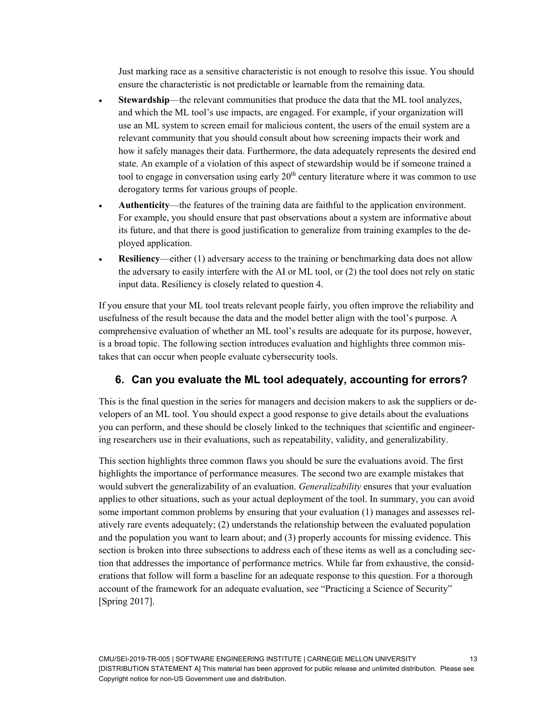Just marking race as a sensitive characteristic is not enough to resolve this issue. You should ensure the characteristic is not predictable or learnable from the remaining data.

- **Stewardship**—the relevant communities that produce the data that the ML tool analyzes, and which the ML tool's use impacts, are engaged. For example, if your organization will use an ML system to screen email for malicious content, the users of the email system are a relevant community that you should consult about how screening impacts their work and how it safely manages their data. Furthermore, the data adequately represents the desired end state. An example of a violation of this aspect of stewardship would be if someone trained a tool to engage in conversation using early  $20<sup>th</sup>$  century literature where it was common to use derogatory terms for various groups of people.
- **Authenticity**—the features of the training data are faithful to the application environment. For example, you should ensure that past observations about a system are informative about its future, and that there is good justification to generalize from training examples to the deployed application.
- **Resiliency**—either (1) adversary access to the training or benchmarking data does not allow the adversary to easily interfere with the AI or ML tool, or (2) the tool does not rely on static input data. Resiliency is closely related to question [4.](#page-17-0)

If you ensure that your ML tool treats relevant people fairly, you often improve the reliability and usefulness of the result because the data and the model better align with the tool's purpose. A comprehensive evaluation of whether an ML tool's results are adequate for its purpose, however, is a broad topic. The following section introduces evaluation and highlights three common mistakes that can occur when people evaluate cybersecurity tools.

# <span id="page-19-0"></span>**6. Can you evaluate the ML tool adequately, accounting for errors?**

This is the final question in the series for managers and decision makers to ask the suppliers or developers of an ML tool. You should expect a good response to give details about the evaluations you can perform, and these should be closely linked to the techniques that scientific and engineering researchers use in their evaluations, such as repeatability, validity, and generalizability.

This section highlights three common flaws you should be sure the evaluations avoid. The first highlights the importance of performance measures. The second two are example mistakes that would subvert the generalizability of an evaluation. *Generalizability* ensures that your evaluation applies to other situations, such as your actual deployment of the tool. In summary, you can avoid some important common problems by ensuring that your evaluation (1) manages and assesses relatively rare events adequately; (2) understands the relationship between the evaluated population and the population you want to learn about; and (3) properly accounts for missing evidence. This section is broken into three subsections to address each of these items as well as a concluding section that addresses the importance of performance metrics. While far from exhaustive, the considerations that follow will form a baseline for an adequate response to this question. For a thorough account of the framework for an adequate evaluation, see "Practicing a Science of Security" [Spring 2017].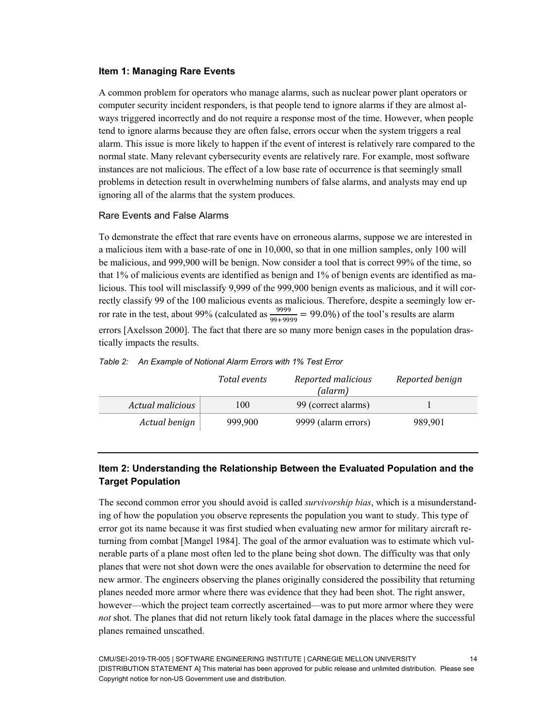#### **Item 1: Managing Rare Events**

A common problem for operators who manage alarms, such as nuclear power plant operators or computer security incident responders, is that people tend to ignore alarms if they are almost always triggered incorrectly and do not require a response most of the time. However, when people tend to ignore alarms because they are often false, errors occur when the system triggers a real alarm. This issue is more likely to happen if the event of interest is relatively rare compared to the normal state. Many relevant cybersecurity events are relatively rare. For example, most software instances are not malicious. The effect of a low base rate of occurrence is that seemingly small problems in detection result in overwhelming numbers of false alarms, and analysts may end up ignoring all of the alarms that the system produces.

#### Rare Events and False Alarms

To demonstrate the effect that rare events have on erroneous alarms, suppose we are interested in a malicious item with a base-rate of one in 10,000, so that in one million samples, only 100 will be malicious, and 999,900 will be benign. Now consider a tool that is correct 99% of the time, so that 1% of malicious events are identified as benign and 1% of benign events are identified as malicious. This tool will misclassify 9,999 of the 999,900 benign events as malicious, and it will correctly classify 99 of the 100 malicious events as malicious. Therefore, despite a seemingly low error rate in the test, about 99% (calculated as  $\frac{9999}{99+9999} = 99.0\%$ ) of the tool's results are alarm errors [Axelsson 2000]. The fact that there are so many more benign cases in the population drastically impacts the results.

<span id="page-20-0"></span>

|                  | Total events | Reported malicious<br>(alarm) | Reported benign |
|------------------|--------------|-------------------------------|-----------------|
| Actual malicious | 100          | 99 (correct alarms)           |                 |
| Actual benign    | 999,900      | 9999 (alarm errors)           | 989.901         |

#### **Item 2: Understanding the Relationship Between the Evaluated Population and the Target Population**

The second common error you should avoid is called *survivorship bias*, which is a misunderstanding of how the population you observe represents the population you want to study. This type of error got its name because it was first studied when evaluating new armor for military aircraft returning from combat [Mangel 1984]. The goal of the armor evaluation was to estimate which vulnerable parts of a plane most often led to the plane being shot down. The difficulty was that only planes that were not shot down were the ones available for observation to determine the need for new armor. The engineers observing the planes originally considered the possibility that returning planes needed more armor where there was evidence that they had been shot. The right answer, however—which the project team correctly ascertained—was to put more armor where they were *not* shot. The planes that did not return likely took fatal damage in the places where the successful planes remained unscathed.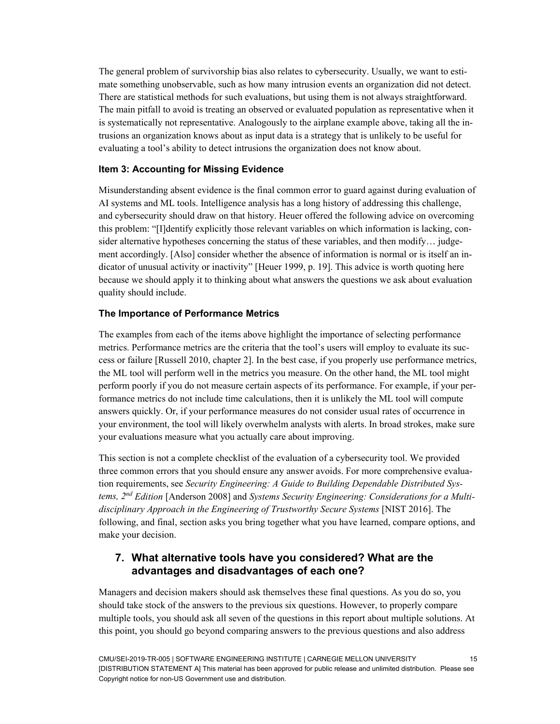The general problem of survivorship bias also relates to cybersecurity. Usually, we want to estimate something unobservable, such as how many intrusion events an organization did not detect. There are statistical methods for such evaluations, but using them is not always straightforward. The main pitfall to avoid is treating an observed or evaluated population as representative when it is systematically not representative. Analogously to the airplane example above, taking all the intrusions an organization knows about as input data is a strategy that is unlikely to be useful for evaluating a tool's ability to detect intrusions the organization does not know about.

#### **Item 3: Accounting for Missing Evidence**

Misunderstanding absent evidence is the final common error to guard against during evaluation of AI systems and ML tools. Intelligence analysis has a long history of addressing this challenge, and cybersecurity should draw on that history. Heuer offered the following advice on overcoming this problem: "[I]dentify explicitly those relevant variables on which information is lacking, consider alternative hypotheses concerning the status of these variables, and then modify... judgement accordingly. [Also] consider whether the absence of information is normal or is itself an indicator of unusual activity or inactivity" [Heuer 1999, p. 19]. This advice is worth quoting here because we should apply it to thinking about what answers the questions we ask about evaluation quality should include.

#### **The Importance of Performance Metrics**

The examples from each of the items above highlight the importance of selecting performance metrics. Performance metrics are the criteria that the tool's users will employ to evaluate its success or failure [Russell 2010, chapter 2]. In the best case, if you properly use performance metrics, the ML tool will perform well in the metrics you measure. On the other hand, the ML tool might perform poorly if you do not measure certain aspects of its performance. For example, if your performance metrics do not include time calculations, then it is unlikely the ML tool will compute answers quickly. Or, if your performance measures do not consider usual rates of occurrence in your environment, the tool will likely overwhelm analysts with alerts. In broad strokes, make sure your evaluations measure what you actually care about improving.

This section is not a complete checklist of the evaluation of a cybersecurity tool. We provided three common errors that you should ensure any answer avoids. For more comprehensive evaluation requirements, see *Security Engineering: A Guide to Building Dependable Distributed Systems, 2nd Edition* [Anderson 2008] and *Systems Security Engineering: Considerations for a Multidisciplinary Approach in the Engineering of Trustworthy Secure Systems* [NIST 2016]. The following, and final, section asks you bring together what you have learned, compare options, and make your decision.

# <span id="page-21-0"></span>**7. What alternative tools have you considered? What are the advantages and disadvantages of each one?**

Managers and decision makers should ask themselves these final questions. As you do so, you should take stock of the answers to the previous six questions. However, to properly compare multiple tools, you should ask all seven of the questions in this report about multiple solutions. At this point, you should go beyond comparing answers to the previous questions and also address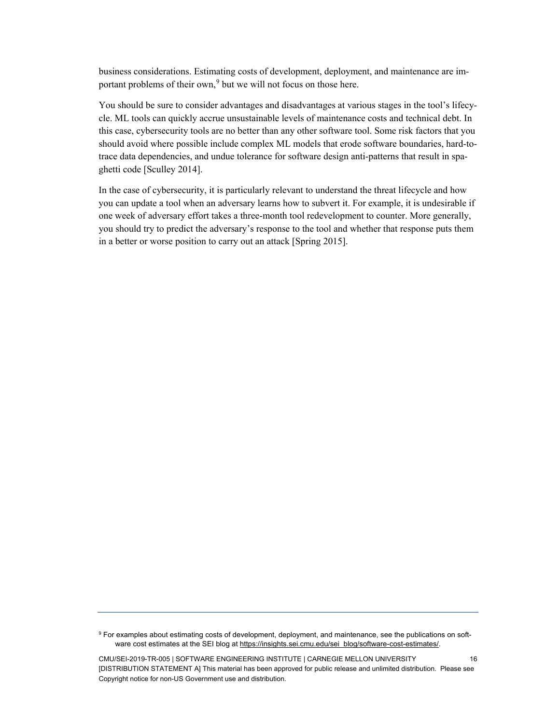business considerations. Estimating costs of development, deployment, and maintenance are im-portant problems of their own,<sup>[9](#page-22-0)</sup> but we will not focus on those here.

You should be sure to consider advantages and disadvantages at various stages in the tool's lifecycle. ML tools can quickly accrue unsustainable levels of maintenance costs and technical debt. In this case, cybersecurity tools are no better than any other software tool. Some risk factors that you should avoid where possible include complex ML models that erode software boundaries, hard-totrace data dependencies, and undue tolerance for software design anti-patterns that result in spaghetti code [Sculley 2014].

In the case of cybersecurity, it is particularly relevant to understand the threat lifecycle and how you can update a tool when an adversary learns how to subvert it. For example, it is undesirable if one week of adversary effort takes a three-month tool redevelopment to counter. More generally, you should try to predict the adversary's response to the tool and whether that response puts them in a better or worse position to carry out an attack [Spring 2015].

<span id="page-22-0"></span><sup>9</sup> For examples about estimating costs of development, deployment, and maintenance, see the publications on software cost estimates at the SEI blog a[t https://insights.sei.cmu.edu/sei\\_blog/software-cost-estimates/.](https://insights.sei.cmu.edu/sei_blog/software-cost-estimates/)

CMU/SEI-2019-TR-005 | SOFTWARE ENGINEERING INSTITUTE | CARNEGIE MELLON UNIVERSITY 16 [DISTRIBUTION STATEMENT A] This material has been approved for public release and unlimited distribution. Please see Copyright notice for non-US Government use and distribution.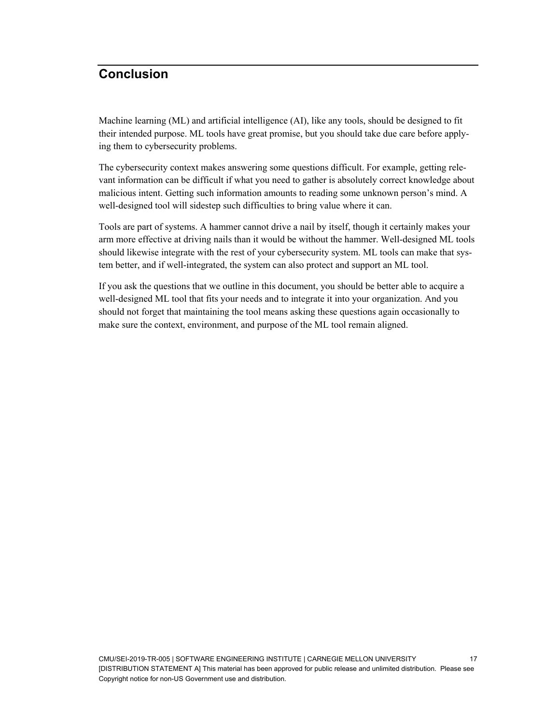# <span id="page-23-0"></span>**Conclusion**

Machine learning (ML) and artificial intelligence (AI), like any tools, should be designed to fit their intended purpose. ML tools have great promise, but you should take due care before applying them to cybersecurity problems.

The cybersecurity context makes answering some questions difficult. For example, getting relevant information can be difficult if what you need to gather is absolutely correct knowledge about malicious intent. Getting such information amounts to reading some unknown person's mind. A well-designed tool will sidestep such difficulties to bring value where it can.

Tools are part of systems. A hammer cannot drive a nail by itself, though it certainly makes your arm more effective at driving nails than it would be without the hammer. Well-designed ML tools should likewise integrate with the rest of your cybersecurity system. ML tools can make that system better, and if well-integrated, the system can also protect and support an ML tool.

If you ask the questions that we outline in this document, you should be better able to acquire a well-designed ML tool that fits your needs and to integrate it into your organization. And you should not forget that maintaining the tool means asking these questions again occasionally to make sure the context, environment, and purpose of the ML tool remain aligned.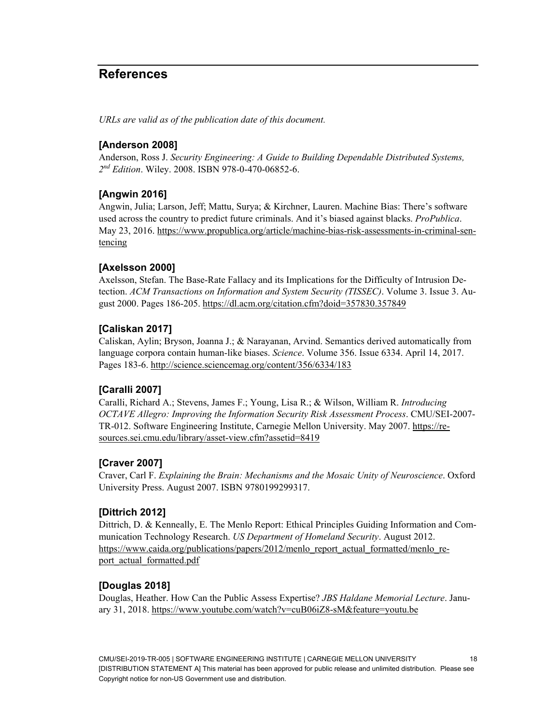# <span id="page-24-0"></span>**References**

*URLs are valid as of the publication date of this document.*

### **[Anderson 2008]**

Anderson, Ross J. *Security Engineering: A Guide to Building Dependable Distributed Systems, 2nd Edition*. Wiley. 2008. ISBN 978-0-470-06852-6.

#### **[Angwin 2016]**

Angwin, Julia; Larson, Jeff; Mattu, Surya; & Kirchner, Lauren. Machine Bias: There's software used across the country to predict future criminals. And it's biased against blacks. *ProPublica*. May 23, 2016. [https://www.propublica.org/article/machine-bias-risk-assessments-in-criminal-sen](https://www.propublica.org/article/machine-bias-risk-assessments-in-criminal-sentencing)[tencing](https://www.propublica.org/article/machine-bias-risk-assessments-in-criminal-sentencing)

#### **[Axelsson 2000]**

Axelsson, Stefan. The Base-Rate Fallacy and its Implications for the Difficulty of Intrusion Detection. *ACM Transactions on Information and System Security (TISSEC)*. Volume 3. Issue 3. August 2000. Pages 186-205[. https://dl.acm.org/citation.cfm?doid=357830.357849](https://dl.acm.org/citation.cfm?doid=357830.357849)

#### **[Caliskan 2017]**

Caliskan, Aylin; Bryson, Joanna J.; & Narayanan, Arvind. Semantics derived automatically from language corpora contain human-like biases. *Science*. Volume 356. Issue 6334. April 14, 2017. Pages 183-6.<http://science.sciencemag.org/content/356/6334/183>

#### **[Caralli 2007]**

Caralli, Richard A.; Stevens, James F.; Young, Lisa R.; & Wilson, William R. *Introducing OCTAVE Allegro: Improving the Information Security Risk Assessment Process*. CMU/SEI-2007- TR-012. Software Engineering Institute, Carnegie Mellon University. May 2007. [https://re](https://resources.sei.cmu.edu/library/asset-view.cfm?assetid=8419)[sources.sei.cmu.edu/library/asset-view.cfm?assetid=8419](https://resources.sei.cmu.edu/library/asset-view.cfm?assetid=8419)

# **[Craver 2007]**

Craver, Carl F. *Explaining the Brain: Mechanisms and the Mosaic Unity of Neuroscience*. Oxford University Press. August 2007. ISBN 9780199299317.

#### **[Dittrich 2012]**

Dittrich, D. & Kenneally, E. The Menlo Report: Ethical Principles Guiding Information and Communication Technology Research. *US Department of Homeland Security*. August 2012. [https://www.caida.org/publications/papers/2012/menlo\\_report\\_actual\\_formatted/menlo\\_re](https://www.caida.org/publications/papers/2012/menlo_report_actual_formatted/menlo_report_actual_formatted.pdf)[port\\_actual\\_formatted.pdf](https://www.caida.org/publications/papers/2012/menlo_report_actual_formatted/menlo_report_actual_formatted.pdf)

#### **[Douglas 2018]**

Douglas, Heather. How Can the Public Assess Expertise? *JBS Haldane Memorial Lecture*. January 31, 2018.<https://www.youtube.com/watch?v=cuB06iZ8-sM&feature=youtu.be>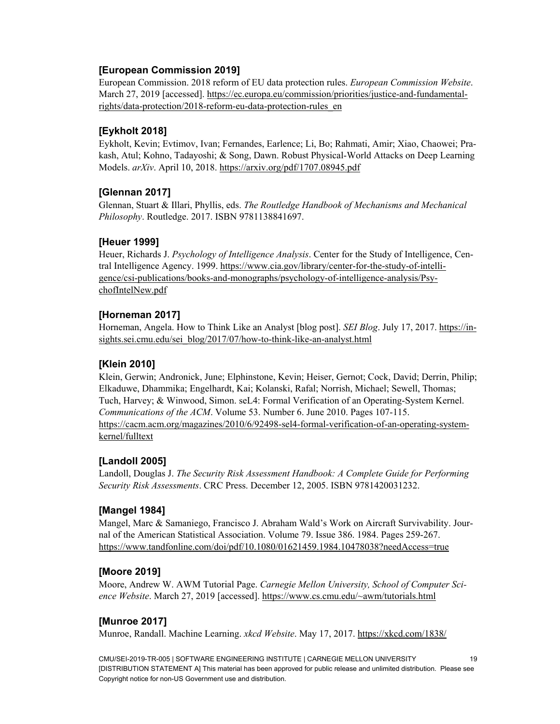# **[European Commission 2019]**

European Commission. 2018 reform of EU data protection rules. *European Commission Website*. March 27, 2019 [accessed]. [https://ec.europa.eu/commission/priorities/justice-and-fundamental](https://ec.europa.eu/commission/priorities/justice-and-fundamental-rights/data-protection/2018-reform-eu-data-protection-rules_en)[rights/data-protection/2018-reform-eu-data-protection-rules\\_en](https://ec.europa.eu/commission/priorities/justice-and-fundamental-rights/data-protection/2018-reform-eu-data-protection-rules_en)

### **[Eykholt 2018]**

Eykholt, Kevin; Evtimov, Ivan; Fernandes, Earlence; Li, Bo; Rahmati, Amir; Xiao, Chaowei; Prakash, Atul; Kohno, Tadayoshi; & Song, Dawn. Robust Physical-World Attacks on Deep Learning Models. *arXiv*. April 10, 2018.<https://arxiv.org/pdf/1707.08945.pdf>

#### **[Glennan 2017]**

Glennan, Stuart & Illari, Phyllis, eds. *The Routledge Handbook of Mechanisms and Mechanical Philosophy*. Routledge. 2017. ISBN 9781138841697.

#### **[Heuer 1999]**

Heuer, Richards J. *Psychology of Intelligence Analysis*. Center for the Study of Intelligence, Central Intelligence Agency. 1999. [https://www.cia.gov/library/center-for-the-study-of-intelli](https://www.cia.gov/library/center-for-the-study-of-intelligence/csi-publications/books-and-monographs/psychology-of-intelligence-analysis/PsychofIntelNew.pdf)[gence/csi-publications/books-and-monographs/psychology-of-intelligence-analysis/Psy](https://www.cia.gov/library/center-for-the-study-of-intelligence/csi-publications/books-and-monographs/psychology-of-intelligence-analysis/PsychofIntelNew.pdf)[chofIntelNew.pdf](https://www.cia.gov/library/center-for-the-study-of-intelligence/csi-publications/books-and-monographs/psychology-of-intelligence-analysis/PsychofIntelNew.pdf)

#### **[Horneman 2017]**

Horneman, Angela. How to Think Like an Analyst [blog post]. *SEI Blog*. July 17, 2017. [https://in](https://insights.sei.cmu.edu/sei_blog/2017/07/how-to-think-like-an-analyst.html)[sights.sei.cmu.edu/sei\\_blog/2017/07/how-to-think-like-an-analyst.html](https://insights.sei.cmu.edu/sei_blog/2017/07/how-to-think-like-an-analyst.html)

#### **[Klein 2010]**

Klein, Gerwin; Andronick, June; Elphinstone, Kevin; Heiser, Gernot; Cock, David; Derrin, Philip; Elkaduwe, Dhammika; Engelhardt, Kai; Kolanski, Rafal; Norrish, Michael; Sewell, Thomas; Tuch, Harvey; & Winwood, Simon. seL4: Formal Verification of an Operating-System Kernel. *Communications of the ACM*. Volume 53. Number 6. June 2010. Pages 107-115. [https://cacm.acm.org/magazines/2010/6/92498-sel4-formal-verification-of-an-operating-system](https://cacm.acm.org/magazines/2010/6/92498-sel4-formal-verification-of-an-operating-system-kernel/fulltext)[kernel/fulltext](https://cacm.acm.org/magazines/2010/6/92498-sel4-formal-verification-of-an-operating-system-kernel/fulltext)

#### **[Landoll 2005]**

Landoll, Douglas J. *The Security Risk Assessment Handbook: A Complete Guide for Performing Security Risk Assessments*. CRC Press. December 12, 2005. ISBN 9781420031232.

#### **[Mangel 1984]**

Mangel, Marc & Samaniego, Francisco J. Abraham Wald's Work on Aircraft Survivability. Journal of the American Statistical Association. Volume 79. Issue 386. 1984. Pages 259-267. <https://www.tandfonline.com/doi/pdf/10.1080/01621459.1984.10478038?needAccess=true>

#### **[Moore 2019]**

Moore, Andrew W. AWM Tutorial Page. *Carnegie Mellon University, School of Computer Science Website*. March 27, 2019 [accessed][. https://www.cs.cmu.edu/~awm/tutorials.html](https://www.cs.cmu.edu/%7Eawm/tutorials.html)

#### **[Munroe 2017]**

Munroe, Randall. Machine Learning. *xkcd Website*. May 17, 2017.<https://xkcd.com/1838/>

CMU/SEI-2019-TR-005 | SOFTWARE ENGINEERING INSTITUTE | CARNEGIE MELLON UNIVERSITY 19 [DISTRIBUTION STATEMENT A] This material has been approved for public release and unlimited distribution. Please see Copyright notice for non-US Government use and distribution.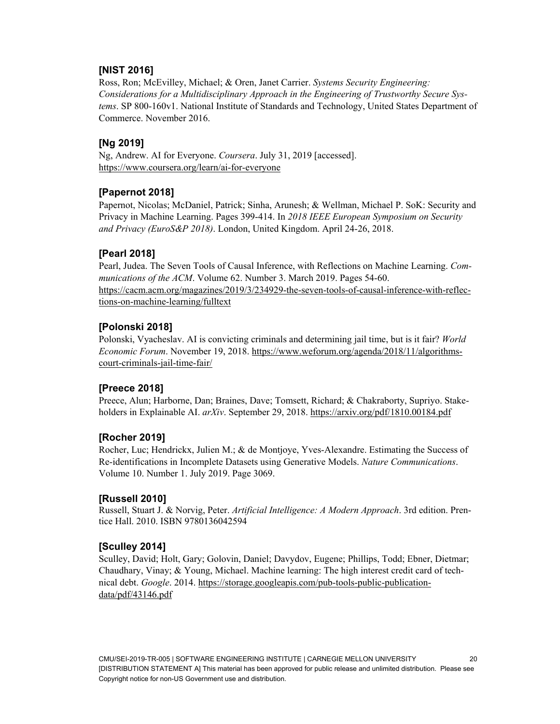# **[NIST 2016]**

Ross, Ron; McEvilley, Michael; & Oren, Janet Carrier. *Systems Security Engineering: Considerations for a Multidisciplinary Approach in the Engineering of Trustworthy Secure Systems*. SP 800-160v1. National Institute of Standards and Technology, United States Department of Commerce. November 2016.

#### **[Ng 2019]**

Ng, Andrew. AI for Everyone. *Coursera*. July 31, 2019 [accessed]. <https://www.coursera.org/learn/ai-for-everyone>

#### **[Papernot 2018]**

Papernot, Nicolas; McDaniel, Patrick; Sinha, Arunesh; & Wellman, Michael P. SoK: Security and Privacy in Machine Learning. Pages 399-414. In *2018 IEEE European Symposium on Security and Privacy (EuroS&P 2018)*. London, United Kingdom. April 24-26, 2018.

#### **[Pearl 2018]**

Pearl, Judea. The Seven Tools of Causal Inference, with Reflections on Machine Learning. *Communications of the ACM*. Volume 62. Number 3. March 2019. Pages 54-60. [https://cacm.acm.org/magazines/2019/3/234929-the-seven-tools-of-causal-inference-with-reflec](https://cacm.acm.org/magazines/2019/3/234929-the-seven-tools-of-causal-inference-with-reflections-on-machine-learning/fulltext)[tions-on-machine-learning/fulltext](https://cacm.acm.org/magazines/2019/3/234929-the-seven-tools-of-causal-inference-with-reflections-on-machine-learning/fulltext)

#### **[Polonski 2018]**

Polonski, Vyacheslav. AI is convicting criminals and determining jail time, but is it fair? *World Economic Forum*. November 19, 2018. [https://www.weforum.org/agenda/2018/11/algorithms](https://www.weforum.org/agenda/2018/11/algorithms-court-criminals-jail-time-fair/)[court-criminals-jail-time-fair/](https://www.weforum.org/agenda/2018/11/algorithms-court-criminals-jail-time-fair/)

#### **[Preece 2018]**

Preece, Alun; Harborne, Dan; Braines, Dave; Tomsett, Richard; & Chakraborty, Supriyo. Stakeholders in Explainable AI. *arXiv*. September 29, 2018.<https://arxiv.org/pdf/1810.00184.pdf>

#### **[Rocher 2019]**

Rocher, Luc; Hendrickx, Julien M.; & de Montjoye, Yves-Alexandre. Estimating the Success of Re-identifications in Incomplete Datasets using Generative Models. *Nature Communications*. Volume 10. Number 1. July 2019. Page 3069.

#### **[Russell 2010]**

Russell, Stuart J. & Norvig, Peter. *Artificial Intelligence: A Modern Approach*. 3rd edition. Prentice Hall. 2010. ISBN 9780136042594

#### **[Sculley 2014]**

Sculley, David; Holt, Gary; Golovin, Daniel; Davydov, Eugene; Phillips, Todd; Ebner, Dietmar; Chaudhary, Vinay; & Young, Michael. Machine learning: The high interest credit card of technical debt. *Google*. 2014. [https://storage.googleapis.com/pub-tools-public-publication](https://storage.googleapis.com/pub-tools-public-publication-data/pdf/43146.pdf)[data/pdf/43146.pdf](https://storage.googleapis.com/pub-tools-public-publication-data/pdf/43146.pdf)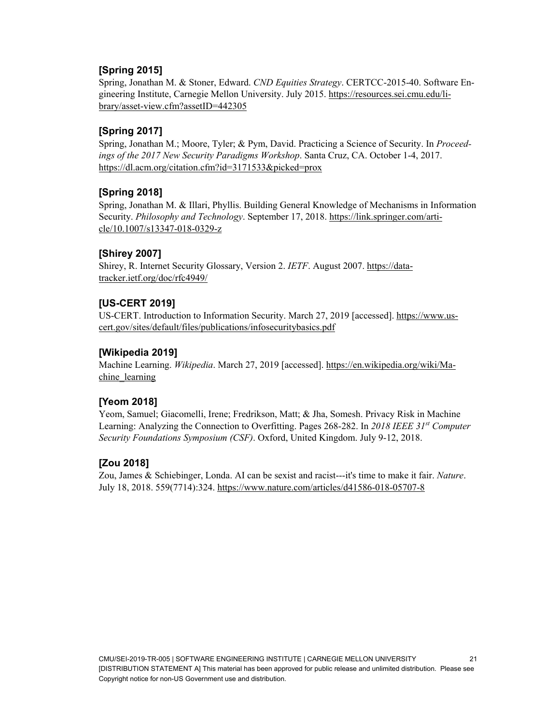# **[Spring 2015]**

Spring, Jonathan M. & Stoner, Edward. *CND Equities Strategy*. CERTCC-2015-40. Software Engineering Institute, Carnegie Mellon University. July 2015. [https://resources.sei.cmu.edu/li](https://resources.sei.cmu.edu/library/asset-view.cfm?assetID=442305)[brary/asset-view.cfm?assetID=442305](https://resources.sei.cmu.edu/library/asset-view.cfm?assetID=442305)

# **[Spring 2017]**

Spring, Jonathan M.; Moore, Tyler; & Pym, David. Practicing a Science of Security. In *Proceedings of the 2017 New Security Paradigms Workshop*. Santa Cruz, CA. October 1-4, 2017. <https://dl.acm.org/citation.cfm?id=3171533&picked=prox>

# **[Spring 2018]**

Spring, Jonathan M. & Illari, Phyllis. Building General Knowledge of Mechanisms in Information Security. *Philosophy and Technology*. September 17, 2018. [https://link.springer.com/arti](https://link.springer.com/article/10.1007/s13347-018-0329-z)[cle/10.1007/s13347-018-0329-z](https://link.springer.com/article/10.1007/s13347-018-0329-z)

# **[Shirey 2007]**

Shirey, R. Internet Security Glossary, Version 2. *IETF*. August 2007. [https://data](https://datatracker.ietf.org/doc/rfc4949/)[tracker.ietf.org/doc/rfc4949/](https://datatracker.ietf.org/doc/rfc4949/)

# **[US-CERT 2019]**

US-CERT. Introduction to Information Security. March 27, 2019 [accessed][. https://www.us](https://www.us-cert.gov/sites/default/files/publications/infosecuritybasics.pdf)[cert.gov/sites/default/files/publications/infosecuritybasics.pdf](https://www.us-cert.gov/sites/default/files/publications/infosecuritybasics.pdf)

# **[Wikipedia 2019]**

Machine Learning. *Wikipedia*. March 27, 2019 [accessed][. https://en.wikipedia.org/wiki/Ma](https://en.wikipedia.org/wiki/Machine_learning)[chine\\_learning](https://en.wikipedia.org/wiki/Machine_learning)

# **[Yeom 2018]**

Yeom, Samuel; Giacomelli, Irene; Fredrikson, Matt; & Jha, Somesh. Privacy Risk in Machine Learning: Analyzing the Connection to Overfitting. Pages 268-282. In *2018 IEEE 31st Computer Security Foundations Symposium (CSF)*. Oxford, United Kingdom. July 9-12, 2018.

# **[Zou 2018]**

Zou, James & Schiebinger, Londa. AI can be sexist and racist---it's time to make it fair. *Nature*. July 18, 2018. 559(7714):324. <https://www.nature.com/articles/d41586-018-05707-8>